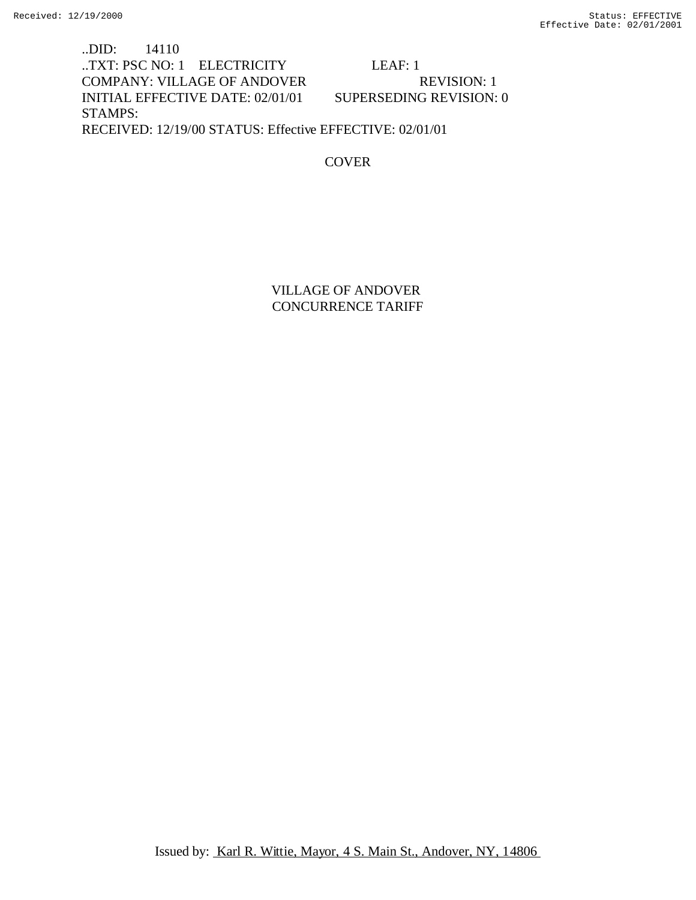..DID: 14110 ..TXT: PSC NO: 1 ELECTRICITY LEAF: 1 COMPANY: VILLAGE OF ANDOVER REVISION: 1 INITIAL EFFECTIVE DATE: 02/01/01 SUPERSEDING REVISION: 0 STAMPS: RECEIVED: 12/19/00 STATUS: Effective EFFECTIVE: 02/01/01

**COVER** 

VILLAGE OF ANDOVER CONCURRENCE TARIFF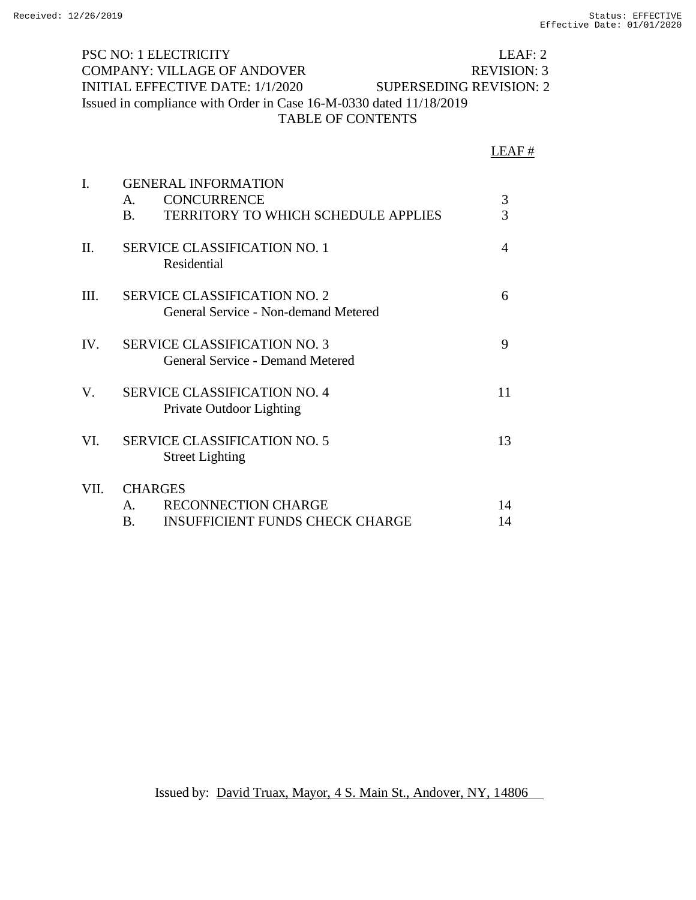PSC NO: 1 ELECTRICITY LEAF: 2 COMPANY: VILLAGE OF ANDOVER REVISION: 3 INITIAL EFFECTIVE DATE: 1/1/2020 SUPERSEDING REVISION: 2 Issued in compliance with Order in Case 16-M-0330 dated 11/18/2019 TABLE OF CONTENTS

|                |                                                                                                                              | LEAF#          |
|----------------|------------------------------------------------------------------------------------------------------------------------------|----------------|
| $\mathbf{I}$ . | <b>GENERAL INFORMATION</b><br><b>CONCURRENCE</b><br>$\mathsf{A}$ .<br><b>TERRITORY TO WHICH SCHEDULE APPLIES</b><br>$\bf{B}$ | 3<br>3         |
| $\Pi$ .        | <b>SERVICE CLASSIFICATION NO. 1</b><br>Residential                                                                           | $\overline{4}$ |
| III.           | <b>SERVICE CLASSIFICATION NO. 2</b><br>General Service - Non-demand Metered                                                  | 6              |
| IV.            | <b>SERVICE CLASSIFICATION NO. 3</b><br>General Service - Demand Metered                                                      | 9              |
| V.             | <b>SERVICE CLASSIFICATION NO. 4</b><br>Private Outdoor Lighting                                                              | 11             |
| VI.            | <b>SERVICE CLASSIFICATION NO. 5</b><br><b>Street Lighting</b>                                                                | 13             |
| VII.           | <b>CHARGES</b><br><b>RECONNECTION CHARGE</b><br>A.<br><b>INSUFFICIENT FUNDS CHECK CHARGE</b><br>Β.                           | 14<br>14       |

Issued by: David Truax, Mayor, 4 S. Main St., Andover, NY, 14806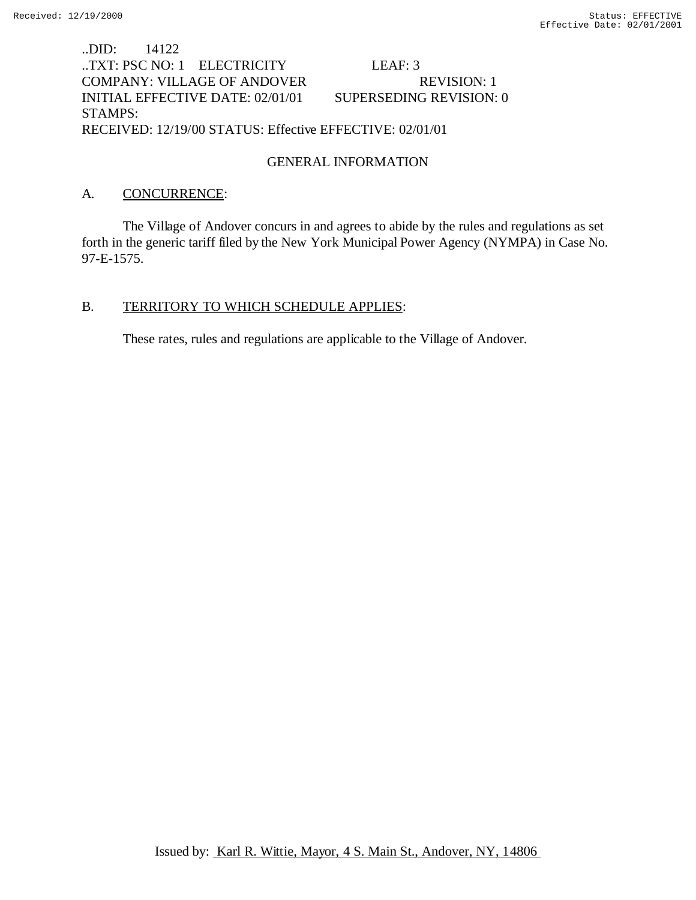# ..DID: 14122 ..TXT: PSC NO: 1 ELECTRICITY LEAF: 3 COMPANY: VILLAGE OF ANDOVER REVISION: 1 INITIAL EFFECTIVE DATE: 02/01/01 SUPERSEDING REVISION: 0 STAMPS: RECEIVED: 12/19/00 STATUS: Effective EFFECTIVE: 02/01/01

# GENERAL INFORMATION

## A. CONCURRENCE:

The Village of Andover concurs in and agrees to abide by the rules and regulations as set forth in the generic tariff filed by the New York Municipal Power Agency (NYMPA) in Case No. 97-E-1575.

## B. TERRITORY TO WHICH SCHEDULE APPLIES:

These rates, rules and regulations are applicable to the Village of Andover.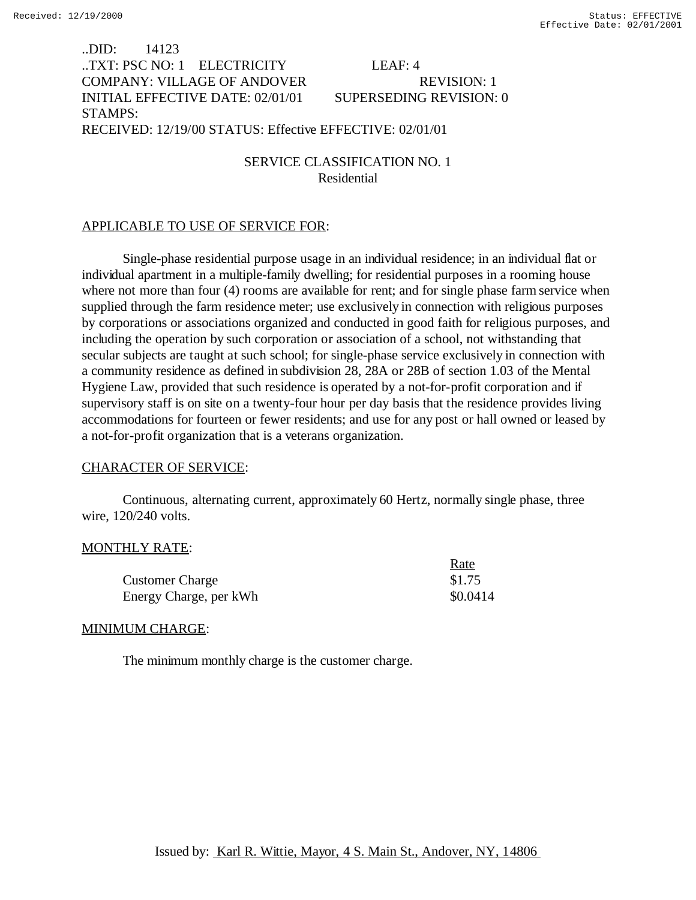..DID: 14123 ..TXT: PSC NO: 1 ELECTRICITY LEAF: 4 COMPANY: VILLAGE OF ANDOVER REVISION: 1 INITIAL EFFECTIVE DATE: 02/01/01 SUPERSEDING REVISION: 0 STAMPS: RECEIVED: 12/19/00 STATUS: Effective EFFECTIVE: 02/01/01

> SERVICE CLASSIFICATION NO. 1 Residential

#### APPLICABLE TO USE OF SERVICE FOR:

Single-phase residential purpose usage in an individual residence; in an individual flat or individual apartment in a multiple-family dwelling; for residential purposes in a rooming house where not more than four (4) rooms are available for rent; and for single phase farm service when supplied through the farm residence meter; use exclusively in connection with religious purposes by corporations or associations organized and conducted in good faith for religious purposes, and including the operation by such corporation or association of a school, not withstanding that secular subjects are taught at such school; for single-phase service exclusively in connection with a community residence as defined in subdivision 28, 28A or 28B of section 1.03 of the Mental Hygiene Law, provided that such residence is operated by a not-for-profit corporation and if supervisory staff is on site on a twenty-four hour per day basis that the residence provides living accommodations for fourteen or fewer residents; and use for any post or hall owned or leased by a not-for-profit organization that is a veterans organization.

#### CHARACTER OF SERVICE:

Continuous, alternating current, approximately 60 Hertz, normally single phase, three wire, 120/240 volts.

 $D_{\alpha}$ 

#### MONTHLY RATE:

|                        | Rate     |
|------------------------|----------|
| <b>Customer Charge</b> | \$1.75   |
| Energy Charge, per kWh | \$0.0414 |

#### MINIMUM CHARGE:

The minimum monthly charge is the customer charge.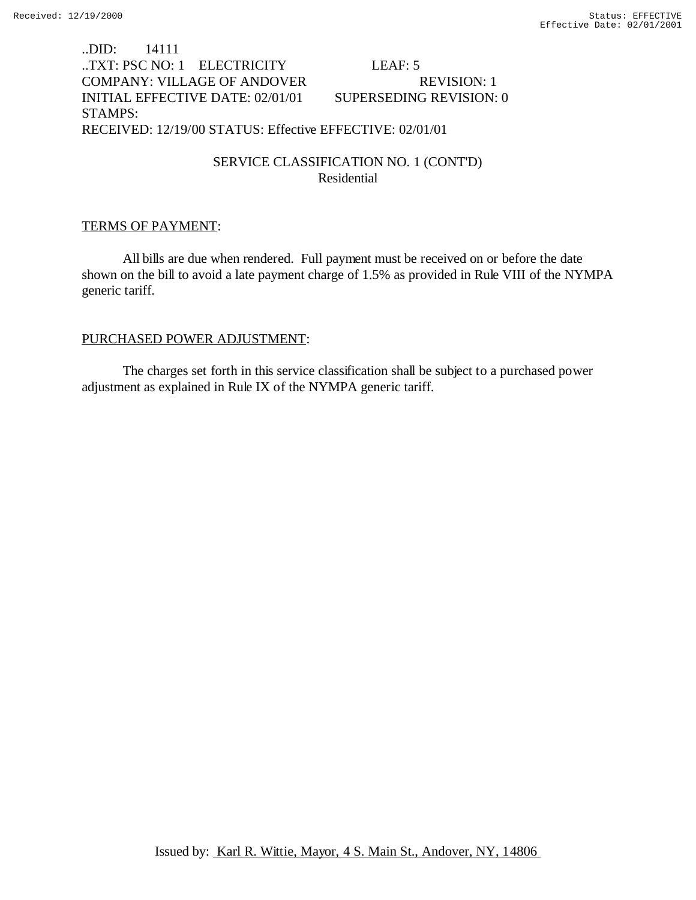# ..DID: 14111 ..TXT: PSC NO: 1 ELECTRICITY LEAF: 5 COMPANY: VILLAGE OF ANDOVER REVISION: 1 INITIAL EFFECTIVE DATE: 02/01/01 SUPERSEDING REVISION: 0 STAMPS: RECEIVED: 12/19/00 STATUS: Effective EFFECTIVE: 02/01/01

# SERVICE CLASSIFICATION NO. 1 (CONT'D) Residential

# TERMS OF PAYMENT:

All bills are due when rendered. Full payment must be received on or before the date shown on the bill to avoid a late payment charge of 1.5% as provided in Rule VIII of the NYMPA generic tariff.

## PURCHASED POWER ADJUSTMENT: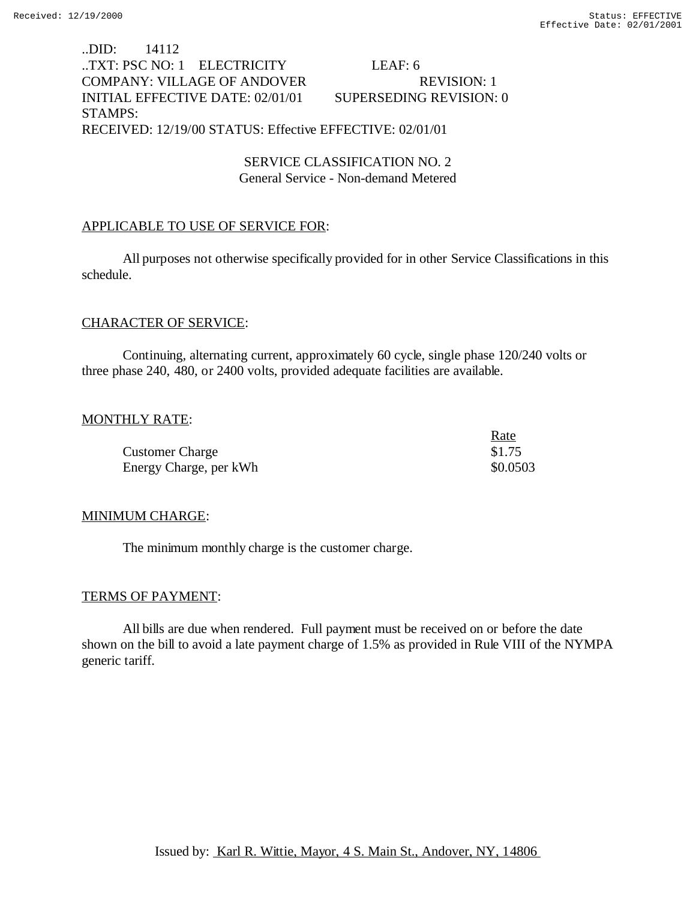# ..DID: 14112 ..TXT: PSC NO: 1 ELECTRICITY LEAF: 6 COMPANY: VILLAGE OF ANDOVER REVISION: 1 INITIAL EFFECTIVE DATE: 02/01/01 SUPERSEDING REVISION: 0 STAMPS: RECEIVED: 12/19/00 STATUS: Effective EFFECTIVE: 02/01/01

SERVICE CLASSIFICATION NO. 2 General Service - Non-demand Metered

## APPLICABLE TO USE OF SERVICE FOR:

All purposes not otherwise specifically provided for in other Service Classifications in this schedule.

## CHARACTER OF SERVICE:

Continuing, alternating current, approximately 60 cycle, single phase 120/240 volts or three phase 240, 480, or 2400 volts, provided adequate facilities are available.

#### MONTHLY RATE:

|                        | <u>Rate</u> |
|------------------------|-------------|
| <b>Customer Charge</b> | \$1.75      |
| Energy Charge, per kWh | \$0.0503    |

#### MINIMUM CHARGE:

The minimum monthly charge is the customer charge.

#### TERMS OF PAYMENT:

All bills are due when rendered. Full payment must be received on or before the date shown on the bill to avoid a late payment charge of 1.5% as provided in Rule VIII of the NYMPA generic tariff.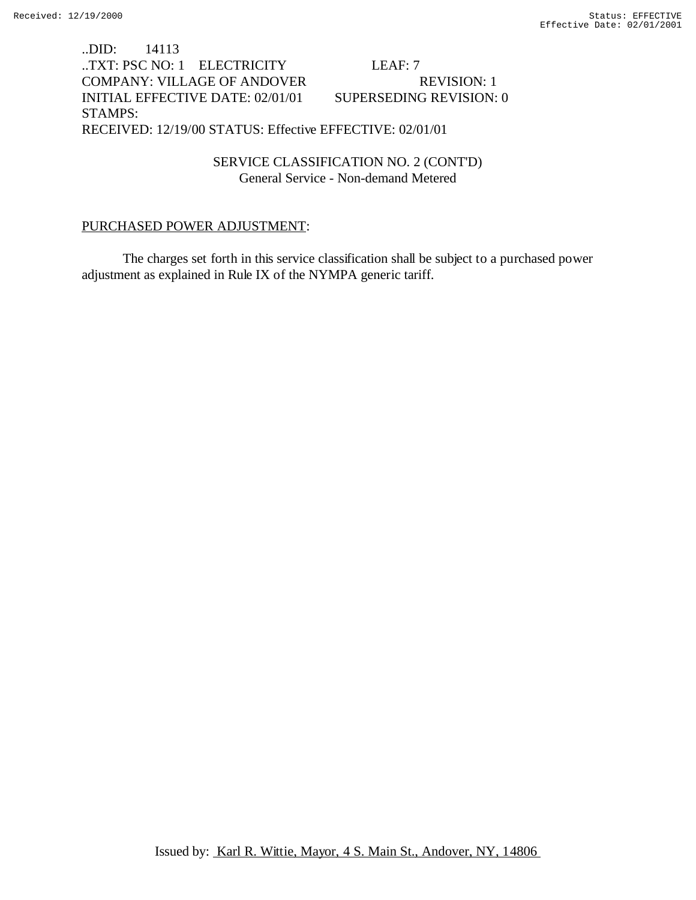..DID: 14113 ..TXT: PSC NO: 1 ELECTRICITY LEAF: 7 COMPANY: VILLAGE OF ANDOVER REVISION: 1 INITIAL EFFECTIVE DATE: 02/01/01 SUPERSEDING REVISION: 0 STAMPS: RECEIVED: 12/19/00 STATUS: Effective EFFECTIVE: 02/01/01

> SERVICE CLASSIFICATION NO. 2 (CONT'D) General Service - Non-demand Metered

## PURCHASED POWER ADJUSTMENT: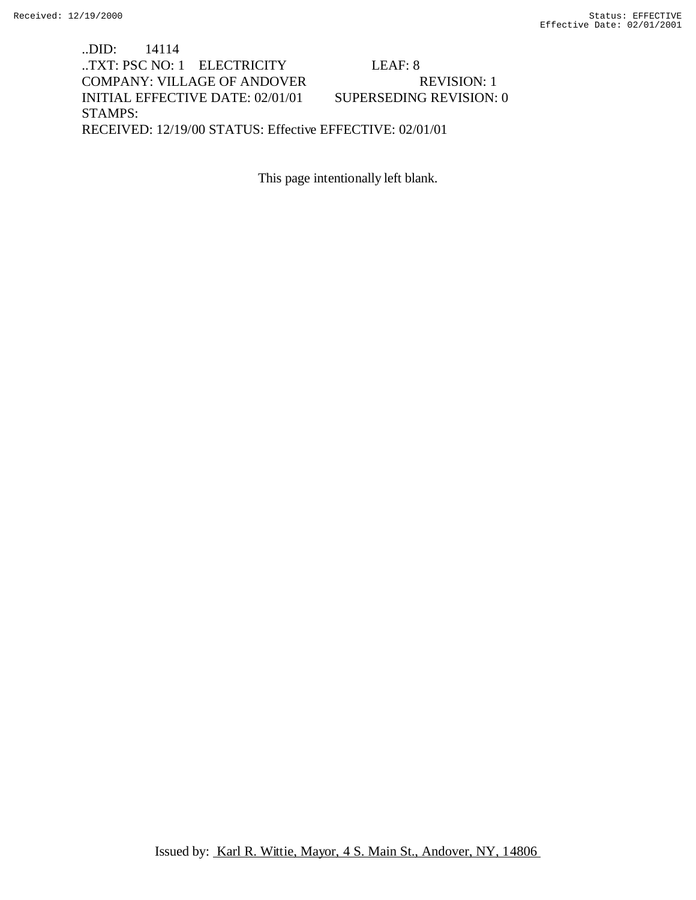..DID: 14114 ..TXT: PSC NO: 1 ELECTRICITY LEAF: 8 COMPANY: VILLAGE OF ANDOVER REVISION: 1 INITIAL EFFECTIVE DATE: 02/01/01 SUPERSEDING REVISION: 0 STAMPS: RECEIVED: 12/19/00 STATUS: Effective EFFECTIVE: 02/01/01

This page intentionally left blank.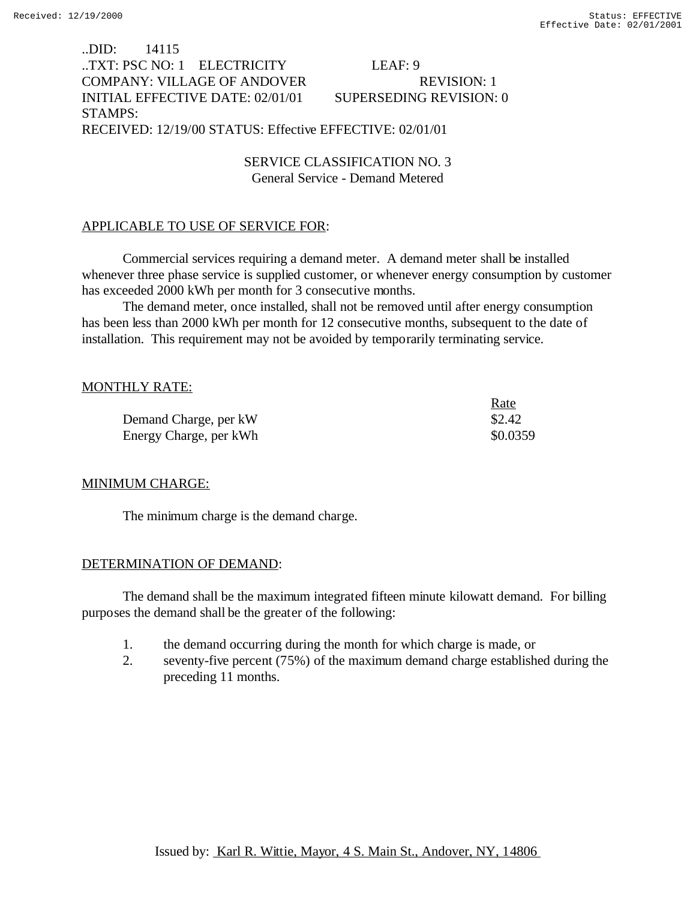# ..DID: 14115 ..TXT: PSC NO: 1 ELECTRICITY LEAF: 9 COMPANY: VILLAGE OF ANDOVER REVISION: 1 INITIAL EFFECTIVE DATE: 02/01/01 SUPERSEDING REVISION: 0 STAMPS: RECEIVED: 12/19/00 STATUS: Effective EFFECTIVE: 02/01/01

SERVICE CLASSIFICATION NO. 3 General Service - Demand Metered

## APPLICABLE TO USE OF SERVICE FOR:

Commercial services requiring a demand meter. A demand meter shall be installed whenever three phase service is supplied customer, or whenever energy consumption by customer has exceeded 2000 kWh per month for 3 consecutive months.

The demand meter, once installed, shall not be removed until after energy consumption has been less than 2000 kWh per month for 12 consecutive months, subsequent to the date of installation. This requirement may not be avoided by temporarily terminating service.

#### MONTHLY RATE:

|                        | <u>Rate</u> |
|------------------------|-------------|
| Demand Charge, per kW  | \$2.42      |
| Energy Charge, per kWh | \$0.0359    |

## MINIMUM CHARGE:

The minimum charge is the demand charge.

#### DETERMINATION OF DEMAND:

The demand shall be the maximum integrated fifteen minute kilowatt demand. For billing purposes the demand shall be the greater of the following:

- 1. the demand occurring during the month for which charge is made, or
- 2. seventy-five percent (75%) of the maximum demand charge established during the preceding 11 months.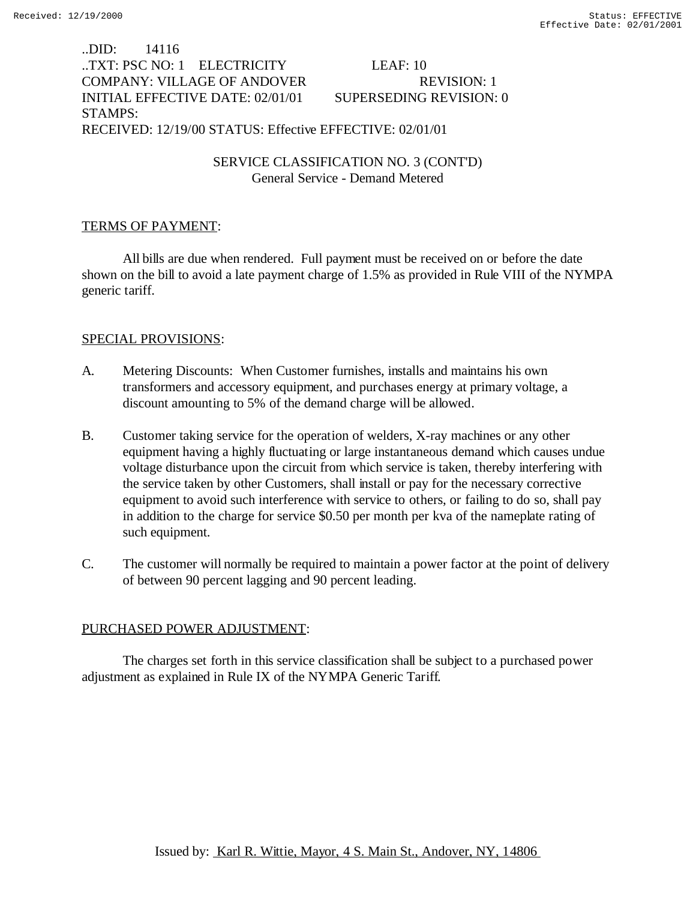..DID: 14116 ..TXT: PSC NO: 1 ELECTRICITY LEAF: 10 COMPANY: VILLAGE OF ANDOVER REVISION: 1 INITIAL EFFECTIVE DATE: 02/01/01 SUPERSEDING REVISION: 0 STAMPS: RECEIVED: 12/19/00 STATUS: Effective EFFECTIVE: 02/01/01

> SERVICE CLASSIFICATION NO. 3 (CONT'D) General Service - Demand Metered

## TERMS OF PAYMENT:

All bills are due when rendered. Full payment must be received on or before the date shown on the bill to avoid a late payment charge of 1.5% as provided in Rule VIII of the NYMPA generic tariff.

## SPECIAL PROVISIONS:

- A. Metering Discounts: When Customer furnishes, installs and maintains his own transformers and accessory equipment, and purchases energy at primary voltage, a discount amounting to 5% of the demand charge will be allowed.
- B. Customer taking service for the operation of welders, X-ray machines or any other equipment having a highly fluctuating or large instantaneous demand which causes undue voltage disturbance upon the circuit from which service is taken, thereby interfering with the service taken by other Customers, shall install or pay for the necessary corrective equipment to avoid such interference with service to others, or failing to do so, shall pay in addition to the charge for service \$0.50 per month per kva of the nameplate rating of such equipment.
- C. The customer will normally be required to maintain a power factor at the point of delivery of between 90 percent lagging and 90 percent leading.

## PURCHASED POWER ADJUSTMENT: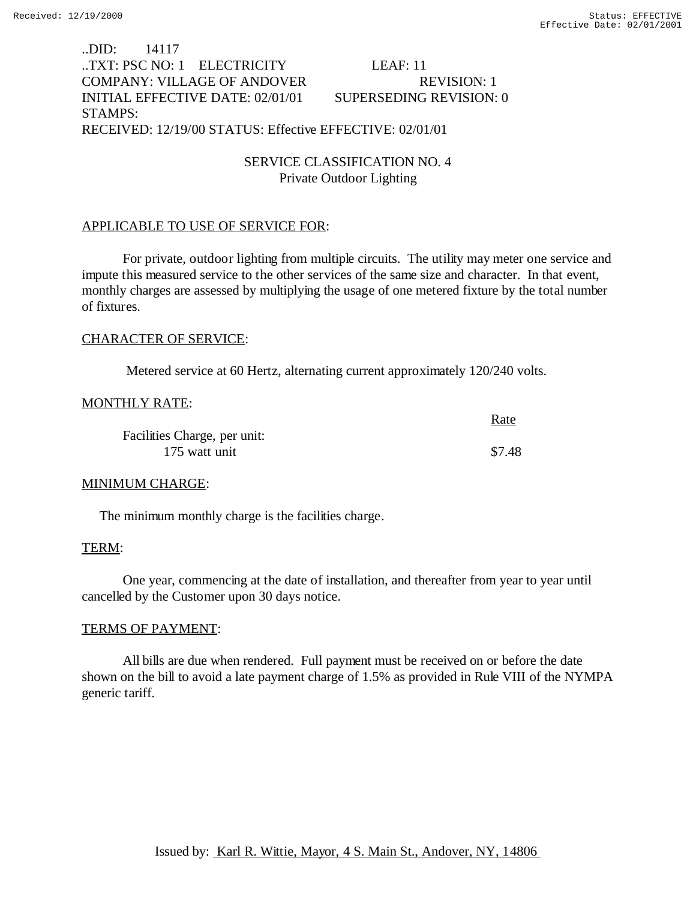# ..DID: 14117 ..TXT: PSC NO: 1 ELECTRICITY LEAF: 11 COMPANY: VILLAGE OF ANDOVER REVISION: 1 INITIAL EFFECTIVE DATE: 02/01/01 SUPERSEDING REVISION: 0 STAMPS: RECEIVED: 12/19/00 STATUS: Effective EFFECTIVE: 02/01/01

SERVICE CLASSIFICATION NO. 4 Private Outdoor Lighting

#### APPLICABLE TO USE OF SERVICE FOR:

For private, outdoor lighting from multiple circuits. The utility may meter one service and impute this measured service to the other services of the same size and character. In that event, monthly charges are assessed by multiplying the usage of one metered fixture by the total number of fixtures.

#### CHARACTER OF SERVICE:

Metered service at 60 Hertz, alternating current approximately 120/240 volts.

R<sub>at</sub>e

## MONTHLY RATE:

|                              | Kate   |
|------------------------------|--------|
| Facilities Charge, per unit: |        |
| 175 watt unit                | \$7.48 |

#### MINIMUM CHARGE:

The minimum monthly charge is the facilities charge.

#### TERM:

One year, commencing at the date of installation, and thereafter from year to year until cancelled by the Customer upon 30 days notice.

#### TERMS OF PAYMENT:

All bills are due when rendered. Full payment must be received on or before the date shown on the bill to avoid a late payment charge of 1.5% as provided in Rule VIII of the NYMPA generic tariff.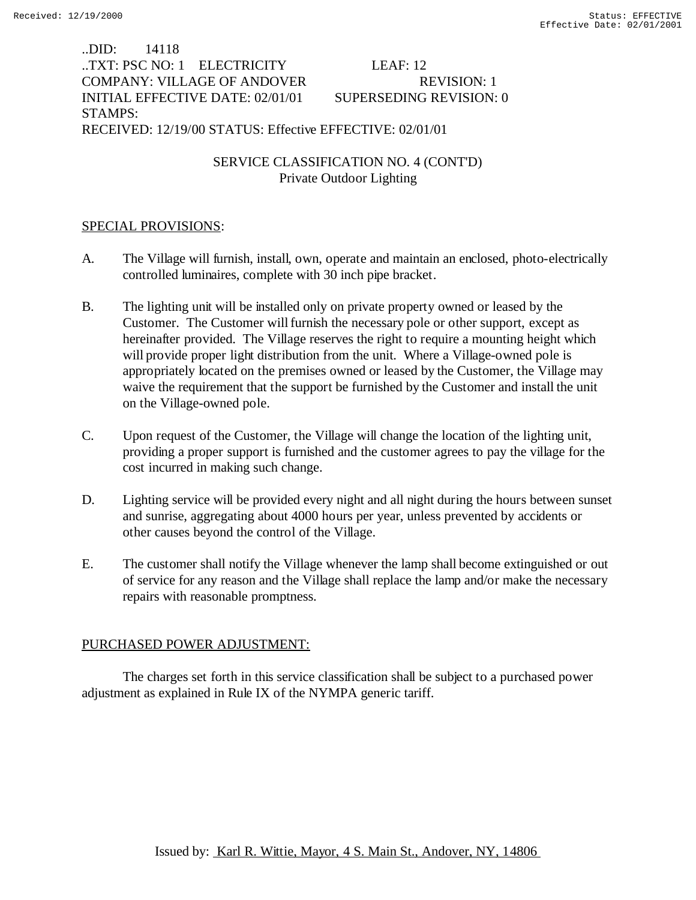..DID: 14118 ..TXT: PSC NO: 1 ELECTRICITY LEAF: 12 COMPANY: VILLAGE OF ANDOVER REVISION: 1 INITIAL EFFECTIVE DATE: 02/01/01 SUPERSEDING REVISION: 0 STAMPS: RECEIVED: 12/19/00 STATUS: Effective EFFECTIVE: 02/01/01

> SERVICE CLASSIFICATION NO. 4 (CONT'D) Private Outdoor Lighting

## SPECIAL PROVISIONS:

- A. The Village will furnish, install, own, operate and maintain an enclosed, photo-electrically controlled luminaires, complete with 30 inch pipe bracket.
- B. The lighting unit will be installed only on private property owned or leased by the Customer. The Customer will furnish the necessary pole or other support, except as hereinafter provided. The Village reserves the right to require a mounting height which will provide proper light distribution from the unit. Where a Village-owned pole is appropriately located on the premises owned or leased by the Customer, the Village may waive the requirement that the support be furnished by the Customer and install the unit on the Village-owned pole.
- C. Upon request of the Customer, the Village will change the location of the lighting unit, providing a proper support is furnished and the customer agrees to pay the village for the cost incurred in making such change.
- D. Lighting service will be provided every night and all night during the hours between sunset and sunrise, aggregating about 4000 hours per year, unless prevented by accidents or other causes beyond the control of the Village.
- E. The customer shall notify the Village whenever the lamp shall become extinguished or out of service for any reason and the Village shall replace the lamp and/or make the necessary repairs with reasonable promptness.

# PURCHASED POWER ADJUSTMENT: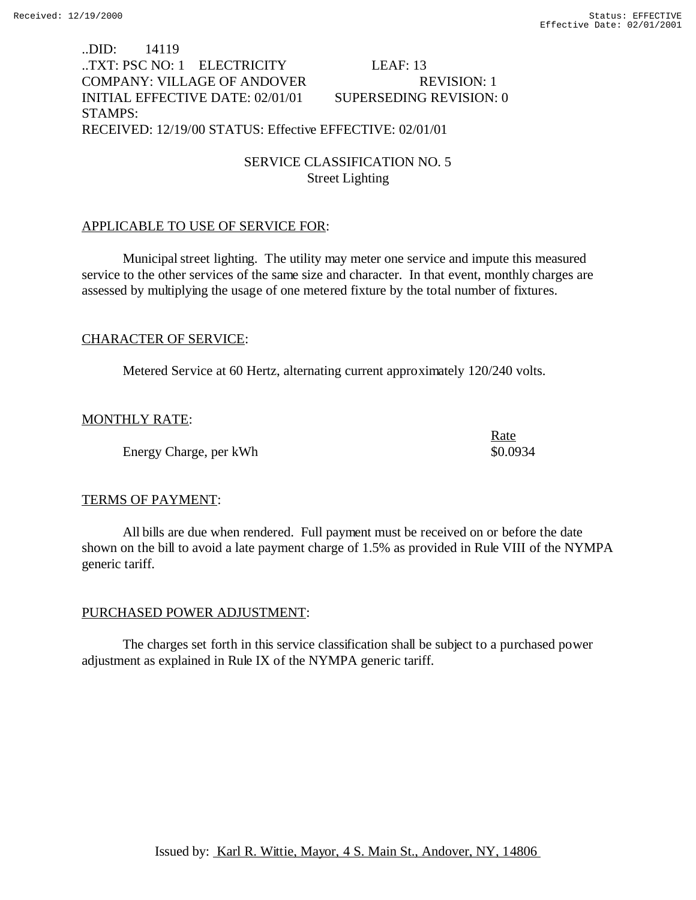# ..DID: 14119 ..TXT: PSC NO: 1 ELECTRICITY LEAF: 13 COMPANY: VILLAGE OF ANDOVER REVISION: 1 INITIAL EFFECTIVE DATE: 02/01/01 SUPERSEDING REVISION: 0 STAMPS: RECEIVED: 12/19/00 STATUS: Effective EFFECTIVE: 02/01/01

SERVICE CLASSIFICATION NO. 5 Street Lighting

# APPLICABLE TO USE OF SERVICE FOR:

Municipal street lighting. The utility may meter one service and impute this measured service to the other services of the same size and character. In that event, monthly charges are assessed by multiplying the usage of one metered fixture by the total number of fixtures.

# CHARACTER OF SERVICE:

Metered Service at 60 Hertz, alternating current approximately 120/240 volts.

# MONTHLY RATE:

Energy Charge, per kWh  $\$0.0934$ 

# Rate

## TERMS OF PAYMENT:

All bills are due when rendered. Full payment must be received on or before the date shown on the bill to avoid a late payment charge of 1.5% as provided in Rule VIII of the NYMPA generic tariff.

# PURCHASED POWER ADJUSTMENT: